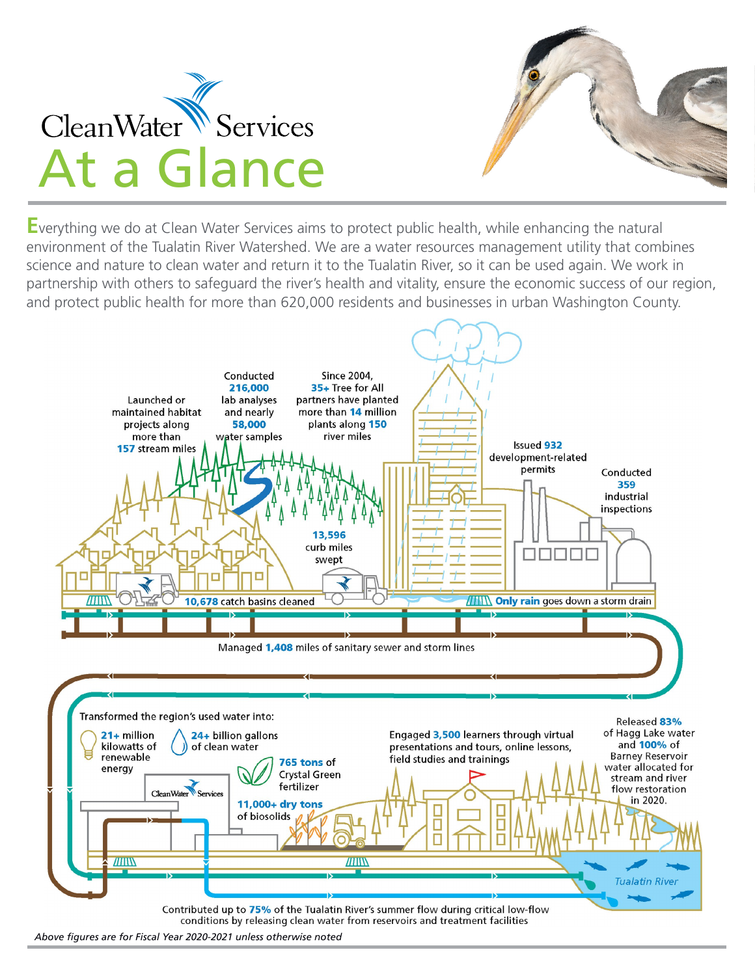

**E**verything we do at Clean Water Services aims to protect public health, while enhancing the natural environment of the Tualatin River Watershed. We are a water resources management utility that combines science and nature to clean water and return it to the Tualatin River, so it can be used again. We work in partnership with others to safeguard the river's health and vitality, ensure the economic success of our region, and protect public health for more than 620,000 residents and businesses in urban Washington County.



*Above figures are for Fiscal Year 2020-2021 unless otherwise noted*